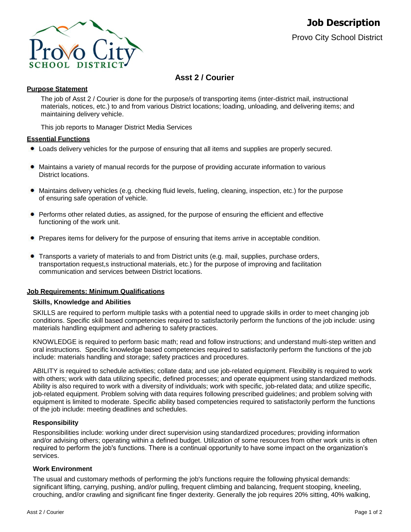

# **Asst 2 / Courier**

## **Purpose Statement**

The job of Asst 2 / Courier is done for the purpose/s of transporting items (inter-district mail, instructional materials, notices, etc.) to and from various District locations; loading, unloading, and delivering items; and maintaining delivery vehicle.

This job reports to Manager District Media Services

## **Essential Functions**

- Loads delivery vehicles for the purpose of ensuring that all items and supplies are properly secured.
- Maintains a variety of manual records for the purpose of providing accurate information to various  $\bullet$ District locations.
- $\bullet$ Maintains delivery vehicles (e.g. checking fluid levels, fueling, cleaning, inspection, etc.) for the purpose of ensuring safe operation of vehicle.
- $\bullet$ Performs other related duties, as assigned, for the purpose of ensuring the efficient and effective functioning of the work unit.
- Prepares items for delivery for the purpose of ensuring that items arrive in acceptable condition.
- Transports a variety of materials to and from District units (e.g. mail, supplies, purchase orders, transportation request,s instructional materials, etc.) for the purpose of improving and facilitation communication and services between District locations.

#### **Job Requirements: Minimum Qualifications**

#### **Skills, Knowledge and Abilities**

SKILLS are required to perform multiple tasks with a potential need to upgrade skills in order to meet changing job conditions. Specific skill based competencies required to satisfactorily perform the functions of the job include: using materials handling equipment and adhering to safety practices.

KNOWLEDGE is required to perform basic math; read and follow instructions; and understand multi-step written and oral instructions. Specific knowledge based competencies required to satisfactorily perform the functions of the job include: materials handling and storage; safety practices and procedures.

ABILITY is required to schedule activities; collate data; and use job-related equipment. Flexibility is required to work with others; work with data utilizing specific, defined processes; and operate equipment using standardized methods. Ability is also required to work with a diversity of individuals; work with specific, job-related data; and utilize specific, job-related equipment. Problem solving with data requires following prescribed guidelines; and problem solving with equipment is limited to moderate. Specific ability based competencies required to satisfactorily perform the functions of the job include: meeting deadlines and schedules.

#### **Responsibility**

Responsibilities include: working under direct supervision using standardized procedures; providing information and/or advising others; operating within a defined budget. Utilization of some resources from other work units is often required to perform the job's functions. There is a continual opportunity to have some impact on the organization's services.

## **Work Environment**

The usual and customary methods of performing the job's functions require the following physical demands: significant lifting, carrying, pushing, and/or pulling, frequent climbing and balancing, frequent stooping, kneeling, crouching, and/or crawling and significant fine finger dexterity. Generally the job requires 20% sitting, 40% walking,